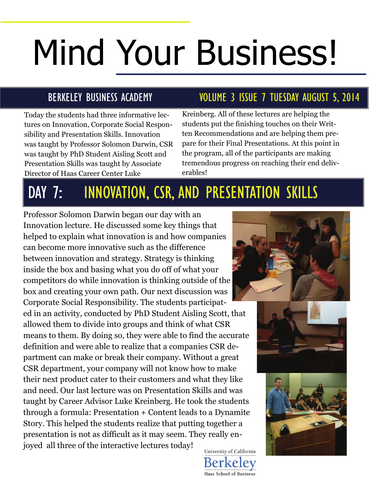# Mind Your Business!

Today the students had three informative lectures on Innovation, Corporate Social Responsibility and Presentation Skills. Innovation was taught by Professor Solomon Darwin, CSR was taught by PhD Student Aisling Scott and Presentation Skills was taught by Associate Director of Haas Career Center Luke

### BERKELEY BUSINESS ACADEMY VOLUME 3 ISSUE 7 TUESDAY AUGUST 5, 2014

Kreinberg. All of these lectures are helping the students put the finishing touches on their Written Recommendations and are helping them prepare for their Final Presentations. At this point in the program, all of the participants are making tremendous progress on reaching their end deliverables!

# DAY 7: INNOVATION, CSR, AND PRESENTATION SKILLS

Professor Solomon Darwin began our day with an Innovation lecture. He discussed some key things that helped to explain what innovation is and how companies can become more innovative such as the difference between innovation and strategy. Strategy is thinking inside the box and basing what you do off of what your competitors do while innovation is thinking outside of the box and creating your own path. Our next discussion was Corporate Social Responsibility. The students participated in an activity, conducted by PhD Student Aisling Scott, that allowed them to divide into groups and think of what CSR means to them. By doing so, they were able to find the accurate definition and were able to realize that a companies CSR department can make or break their company. Without a great CSR department, your company will not know how to make their next product cater to their customers and what they like and need. Our last lecture was on Presentation Skills and was taught by Career Advisor Luke Kreinberg. He took the students through a formula: Presentation + Content leads to a Dynamite Story. This helped the students realize that putting together a presentation is not as difficult as it may seem. They really enjoyed all three of the interactive lectures today! University of California







Berkeley **Haas School of Business**